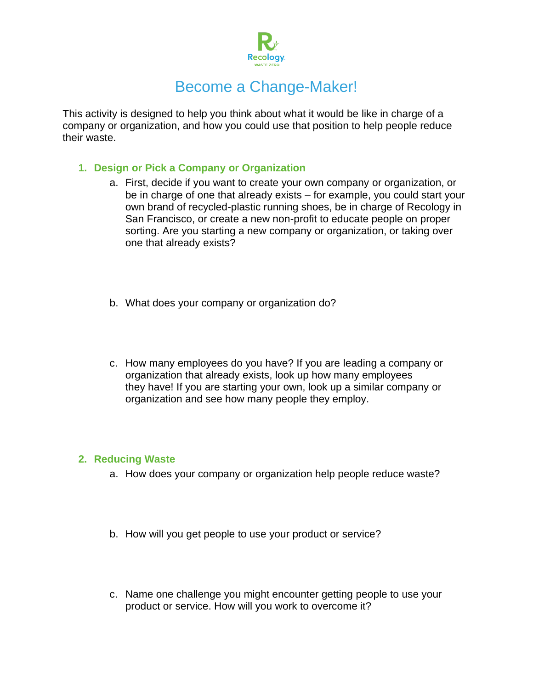

# Become a Change-Maker!

This activity is designed to help you think about what it would be like in charge of a company or organization, and how you could use that position to help people reduce their waste.

## **1. Design or Pick a Company or Organization**

- a. First, decide if you want to create your own company or organization, or be in charge of one that already exists – for example, you could start your own brand of recycled-plastic running shoes, be in charge of Recology in San Francisco, or create a new non-profit to educate people on proper sorting. Are you starting a new company or organization, or taking over one that already exists?
- b. What does your company or organization do?
- c. How many employees do you have? If you are leading a company or organization that already exists, look up how many employees they have! If you are starting your own, look up a similar company or organization and see how many people they employ.

#### **2. Reducing Waste**

- a. How does your company or organization help people reduce waste?
- b. How will you get people to use your product or service?
- c. Name one challenge you might encounter getting people to use your product or service. How will you work to overcome it?